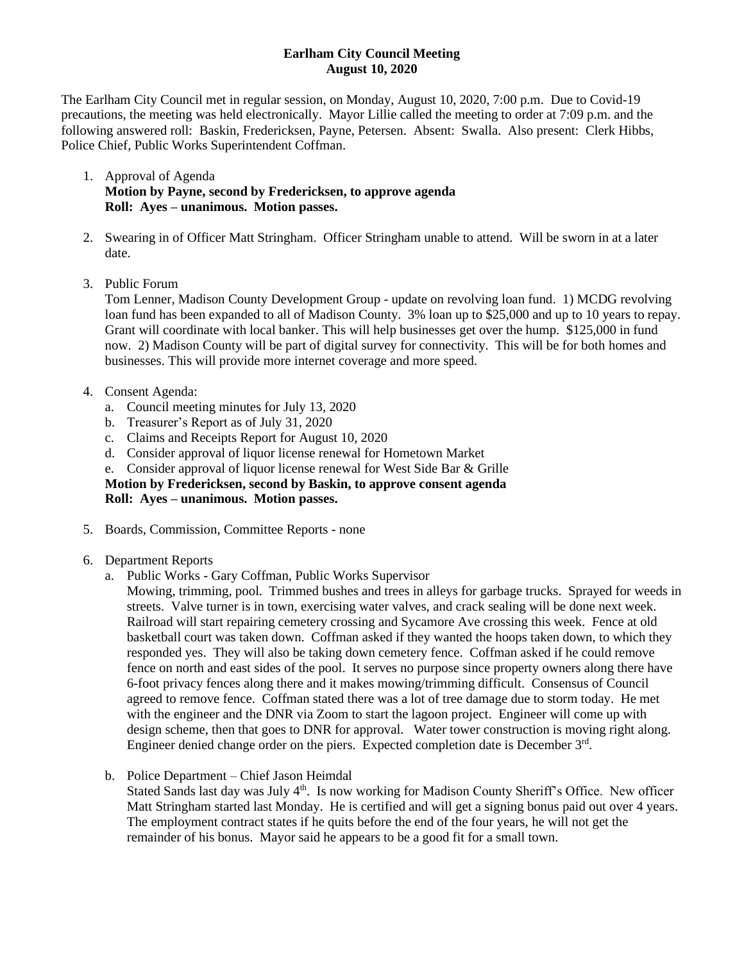## **Earlham City Council Meeting August 10, 2020**

The Earlham City Council met in regular session, on Monday, August 10, 2020, 7:00 p.m. Due to Covid-19 precautions, the meeting was held electronically. Mayor Lillie called the meeting to order at 7:09 p.m. and the following answered roll: Baskin, Fredericksen, Payne, Petersen. Absent: Swalla. Also present: Clerk Hibbs, Police Chief, Public Works Superintendent Coffman.

- 1. Approval of Agenda **Motion by Payne, second by Fredericksen, to approve agenda Roll: Ayes – unanimous. Motion passes.**
- 2. Swearing in of Officer Matt Stringham. Officer Stringham unable to attend. Will be sworn in at a later date.
- 3. Public Forum

Tom Lenner, Madison County Development Group - update on revolving loan fund. 1) MCDG revolving loan fund has been expanded to all of Madison County. 3% loan up to \$25,000 and up to 10 years to repay. Grant will coordinate with local banker. This will help businesses get over the hump. \$125,000 in fund now. 2) Madison County will be part of digital survey for connectivity. This will be for both homes and businesses. This will provide more internet coverage and more speed.

- 4. Consent Agenda:
	- a. Council meeting minutes for July 13, 2020
	- b. Treasurer's Report as of July 31, 2020
	- c. Claims and Receipts Report for August 10, 2020
	- d. Consider approval of liquor license renewal for Hometown Market
	- e. Consider approval of liquor license renewal for West Side Bar & Grille

**Motion by Fredericksen, second by Baskin, to approve consent agenda Roll: Ayes – unanimous. Motion passes.**

- 5. Boards, Commission, Committee Reports none
- 6. Department Reports
	- a. Public Works Gary Coffman, Public Works Supervisor
		- Mowing, trimming, pool. Trimmed bushes and trees in alleys for garbage trucks. Sprayed for weeds in streets. Valve turner is in town, exercising water valves, and crack sealing will be done next week. Railroad will start repairing cemetery crossing and Sycamore Ave crossing this week. Fence at old basketball court was taken down. Coffman asked if they wanted the hoops taken down, to which they responded yes. They will also be taking down cemetery fence. Coffman asked if he could remove fence on north and east sides of the pool. It serves no purpose since property owners along there have 6-foot privacy fences along there and it makes mowing/trimming difficult. Consensus of Council agreed to remove fence. Coffman stated there was a lot of tree damage due to storm today. He met with the engineer and the DNR via Zoom to start the lagoon project. Engineer will come up with design scheme, then that goes to DNR for approval. Water tower construction is moving right along. Engineer denied change order on the piers. Expected completion date is December 3rd.
	- b. Police Department Chief Jason Heimdal

Stated Sands last day was July 4<sup>th</sup>. Is now working for Madison County Sheriff's Office. New officer Matt Stringham started last Monday. He is certified and will get a signing bonus paid out over 4 years. The employment contract states if he quits before the end of the four years, he will not get the remainder of his bonus. Mayor said he appears to be a good fit for a small town.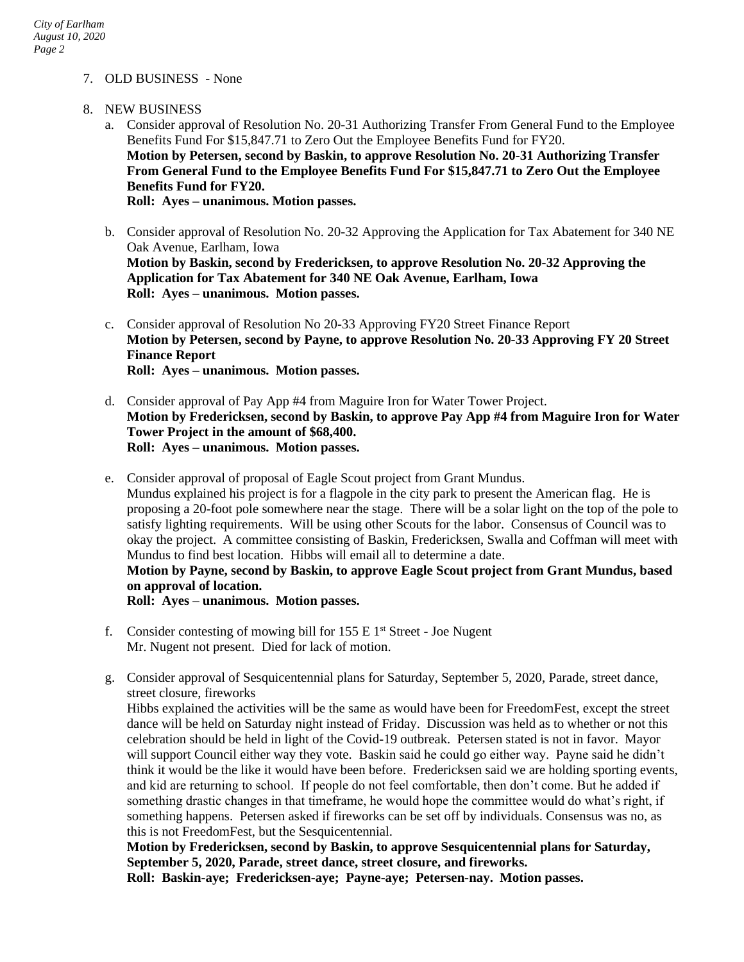## 7. OLD BUSINESS - None

- 8. NEW BUSINESS
	- a. Consider approval of Resolution No. 20-31 Authorizing Transfer From General Fund to the Employee Benefits Fund For \$15,847.71 to Zero Out the Employee Benefits Fund for FY20. **Motion by Petersen, second by Baskin, to approve Resolution No. 20-31 Authorizing Transfer From General Fund to the Employee Benefits Fund For \$15,847.71 to Zero Out the Employee Benefits Fund for FY20. Roll: Ayes – unanimous. Motion passes.**
	- b. Consider approval of Resolution No. 20-32 Approving the Application for Tax Abatement for 340 NE Oak Avenue, Earlham, Iowa **Motion by Baskin, second by Fredericksen, to approve Resolution No. 20-32 Approving the Application for Tax Abatement for 340 NE Oak Avenue, Earlham, Iowa Roll: Ayes – unanimous. Motion passes.**
	- c. Consider approval of Resolution No 20-33 Approving FY20 Street Finance Report **Motion by Petersen, second by Payne, to approve Resolution No. 20-33 Approving FY 20 Street Finance Report Roll: Ayes – unanimous. Motion passes.**
	- d. Consider approval of Pay App #4 from Maguire Iron for Water Tower Project. **Motion by Fredericksen, second by Baskin, to approve Pay App #4 from Maguire Iron for Water Tower Project in the amount of \$68,400. Roll: Ayes – unanimous. Motion passes.**
	- e. Consider approval of proposal of Eagle Scout project from Grant Mundus. Mundus explained his project is for a flagpole in the city park to present the American flag. He is proposing a 20-foot pole somewhere near the stage. There will be a solar light on the top of the pole to satisfy lighting requirements. Will be using other Scouts for the labor. Consensus of Council was to okay the project. A committee consisting of Baskin, Fredericksen, Swalla and Coffman will meet with Mundus to find best location. Hibbs will email all to determine a date. **Motion by Payne, second by Baskin, to approve Eagle Scout project from Grant Mundus, based on approval of location. Roll: Ayes – unanimous. Motion passes.**
	- f. Consider contesting of mowing bill for  $155 \text{ E } 1$ <sup>st</sup> Street Joe Nugent Mr. Nugent not present. Died for lack of motion.

g. Consider approval of Sesquicentennial plans for Saturday, September 5, 2020, Parade, street dance, street closure, fireworks Hibbs explained the activities will be the same as would have been for FreedomFest, except the street dance will be held on Saturday night instead of Friday. Discussion was held as to whether or not this celebration should be held in light of the Covid-19 outbreak. Petersen stated is not in favor. Mayor will support Council either way they vote. Baskin said he could go either way. Payne said he didn't think it would be the like it would have been before. Fredericksen said we are holding sporting events, and kid are returning to school. If people do not feel comfortable, then don't come. But he added if something drastic changes in that timeframe, he would hope the committee would do what's right, if something happens. Petersen asked if fireworks can be set off by individuals. Consensus was no, as this is not FreedomFest, but the Sesquicentennial.

**Motion by Fredericksen, second by Baskin, to approve Sesquicentennial plans for Saturday, September 5, 2020, Parade, street dance, street closure, and fireworks.**

**Roll: Baskin-aye; Fredericksen-aye; Payne-aye; Petersen-nay. Motion passes.**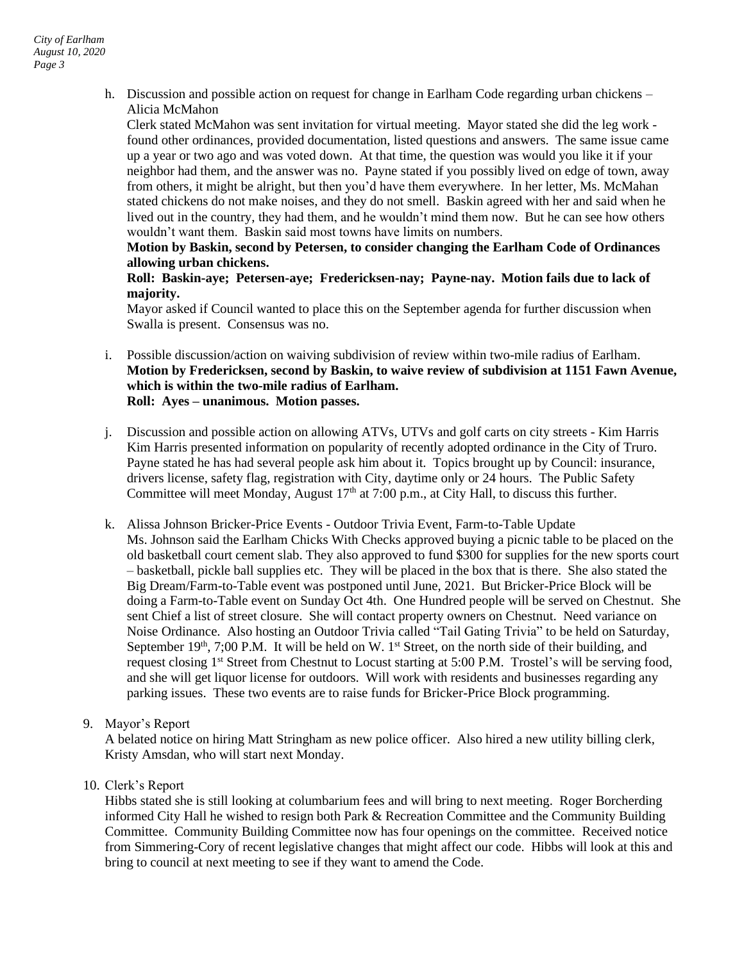h. Discussion and possible action on request for change in Earlham Code regarding urban chickens – Alicia McMahon

Clerk stated McMahon was sent invitation for virtual meeting. Mayor stated she did the leg work found other ordinances, provided documentation, listed questions and answers. The same issue came up a year or two ago and was voted down. At that time, the question was would you like it if your neighbor had them, and the answer was no. Payne stated if you possibly lived on edge of town, away from others, it might be alright, but then you'd have them everywhere. In her letter, Ms. McMahan stated chickens do not make noises, and they do not smell. Baskin agreed with her and said when he lived out in the country, they had them, and he wouldn't mind them now. But he can see how others wouldn't want them. Baskin said most towns have limits on numbers.

**Motion by Baskin, second by Petersen, to consider changing the Earlham Code of Ordinances allowing urban chickens.**

**Roll: Baskin-aye; Petersen-aye; Fredericksen-nay; Payne-nay. Motion fails due to lack of majority.** 

Mayor asked if Council wanted to place this on the September agenda for further discussion when Swalla is present. Consensus was no.

- i. Possible discussion/action on waiving subdivision of review within two-mile radius of Earlham. **Motion by Fredericksen, second by Baskin, to waive review of subdivision at 1151 Fawn Avenue, which is within the two-mile radius of Earlham. Roll: Ayes – unanimous. Motion passes.**
- j. Discussion and possible action on allowing ATVs, UTVs and golf carts on city streets Kim Harris Kim Harris presented information on popularity of recently adopted ordinance in the City of Truro. Payne stated he has had several people ask him about it. Topics brought up by Council: insurance, drivers license, safety flag, registration with City, daytime only or 24 hours. The Public Safety Committee will meet Monday, August  $17<sup>th</sup>$  at 7:00 p.m., at City Hall, to discuss this further.
- k. Alissa Johnson Bricker-Price Events Outdoor Trivia Event, Farm-to-Table Update Ms. Johnson said the Earlham Chicks With Checks approved buying a picnic table to be placed on the old basketball court cement slab. They also approved to fund \$300 for supplies for the new sports court – basketball, pickle ball supplies etc. They will be placed in the box that is there. She also stated the Big Dream/Farm-to-Table event was postponed until June, 2021. But Bricker-Price Block will be doing a Farm-to-Table event on Sunday Oct 4th. One Hundred people will be served on Chestnut. She sent Chief a list of street closure. She will contact property owners on Chestnut. Need variance on Noise Ordinance. Also hosting an Outdoor Trivia called "Tail Gating Trivia" to be held on Saturday, September 19<sup>th</sup>, 7;00 P.M. It will be held on W. 1<sup>st</sup> Street, on the north side of their building, and request closing 1<sup>st</sup> Street from Chestnut to Locust starting at 5:00 P.M. Trostel's will be serving food, and she will get liquor license for outdoors. Will work with residents and businesses regarding any parking issues. These two events are to raise funds for Bricker-Price Block programming.
- 9. Mayor's Report

A belated notice on hiring Matt Stringham as new police officer. Also hired a new utility billing clerk, Kristy Amsdan, who will start next Monday.

10. Clerk's Report

Hibbs stated she is still looking at columbarium fees and will bring to next meeting. Roger Borcherding informed City Hall he wished to resign both Park & Recreation Committee and the Community Building Committee. Community Building Committee now has four openings on the committee. Received notice from Simmering-Cory of recent legislative changes that might affect our code. Hibbs will look at this and bring to council at next meeting to see if they want to amend the Code.